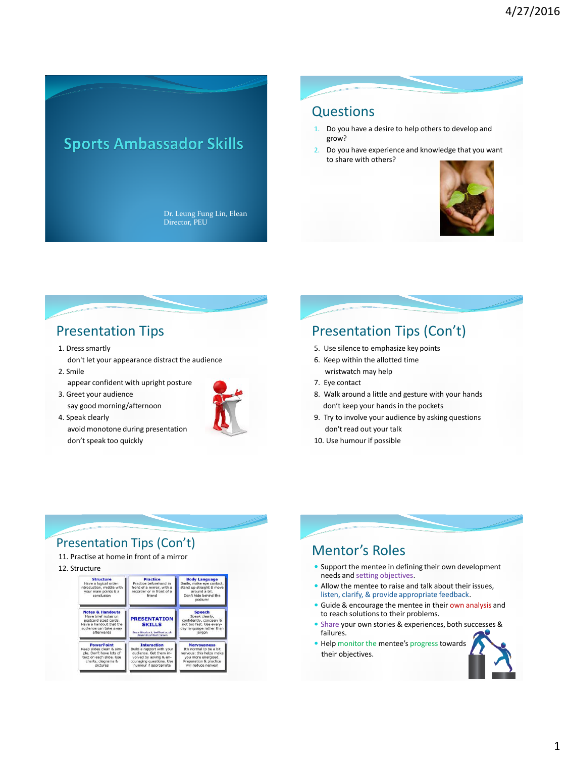# **Sports Ambassador Skills**

Dr. Leung Fung Lin, Elean Director, PEU

### **Questions**

- 1. Do you have a desire to help others to develop and grow?
- 2. Do you have experience and knowledge that you want to share with others?



## Presentation Tips

- 1. Dress smartly
- don't let your appearance distract the audience 2. Smile
- appear confident with upright posture
- 3. Greet your audience say good morning/afternoon
- 4. Speak clearly avoid monotone during presentation don't speak too quickly



## Presentation Tips (Con't)

- 5. Use silence to emphasize key points
- 6. Keep within the allotted time wristwatch may help
- 7. Eye contact
- 8. Walk around a little and gesture with your hands don't keep your hands in the pockets
- 9. Try to involve your audience by asking questions don't read out your talk
- 10. Use humour if possible

#### Presentation Tips (Con't)

- 11. Practise at home in front of a mirror
- 12. Structure

| <b>Structure</b><br>Have a logical order:<br>introduction, middle with<br>your main points & a<br>conclusion                                   | <b>Practice</b><br>Practice beforehand in<br>front of a mirror, with a<br>recorder or in front of a<br>friend                                            | <b>Body Language</b><br>Smile, make eve contact.<br>stand up straight & move<br>around a bit.<br>Don't hide behind the<br>podium!                 |
|------------------------------------------------------------------------------------------------------------------------------------------------|----------------------------------------------------------------------------------------------------------------------------------------------------------|---------------------------------------------------------------------------------------------------------------------------------------------------|
| <b>Notes &amp; Handouts</b><br>Have brief notes on<br>postcard sized cards.<br>Have a handout that the<br>audience can take away<br>afterwards | <b>PRESENTATION</b><br><b>SKILLS</b><br>Rege Woodcock, badSkent.ac.uk<br><b>University of Kent Careers</b>                                               | <b>Speech</b><br>Speak clearly,<br>confidently, concisely &<br>not too fast. Use every-<br>day language rather than<br>iargon                     |
| <b>PowerPoint</b><br>Keep slides clean & sim-<br>ple, Don't have lots of<br>text on each slide. Use<br>charts, diagrams &<br>pictures          | <b>Interaction</b><br>Build a rapport with your<br>audience. Get them in-<br>volved by asking & en-<br>couraging questions. Use<br>humour if appropriate | <b>Nervousness</b><br>It's normal to be a bit<br>nervous: this helps make<br>you more energised.<br>Preparation & practice<br>will reduce nerves! |